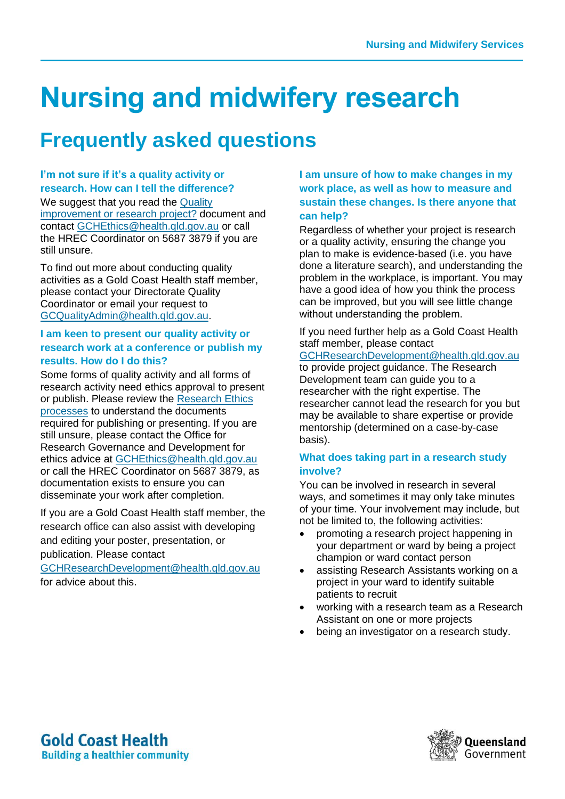# **Nursing and midwifery research**

# **Frequently asked questions**

**I'm not sure if it's a quality activity or research. How can I tell the difference?** We suggest that you read the [Quality](https://www.goldcoast.health.qld.gov.au/sites/default/files/gov000616.pdf) [improvement or](https://www.goldcoast.health.qld.gov.au/sites/default/files/gov000616.pdf) research project? document and contact [GCHEthics@health.qld.gov.au](mailto:GCHEthics@health.qld.gov.au?subject=RE:%20Nursing%20and%20midwifery%20research%20FAQs%20—%20quality%20activity%20or%20research) or call the HREC Coordinator on 5687 3879 if you are still unsure.

To find out more about conducting quality activities as a Gold Coast Health staff member, please contact your Directorate Quality Coordinator or email your request to [GCQualityAdmin@health.qld.gov.au.](mailto:gcqualityadmin@health.qld.gov.au)

## **I am keen to present our quality activity or research work at a conference or publish my results. How do I do this?**

Some forms of quality activity and all forms of research activity need ethics approval to present or publish. Please review the [Research Ethics](https://www.goldcoast.health.qld.gov.au/research/researchers/ethics)  [processes](https://www.goldcoast.health.qld.gov.au/research/researchers/ethics) to understand the documents required for publishing or presenting. If you are still unsure, please contact the Office for Research Governance and Development for ethics advice at [GCHEthics@health.qld.gov.au](mailto:GCHEthics@health.qld.gov.au) or call the HREC Coordinator on 5687 3879, as documentation exists to ensure you can disseminate your work after completion.

If you are a Gold Coast Health staff member, the research office can also assist with developing and editing your poster, presentation, or publication. Please contact

[GCHResearchDevelopment@health.qld.gov.au](mailto:GCHResearchDevelopment@health.qld.gov.au) for advice about this.

## **I am unsure of how to make changes in my work place, as well as how to measure and sustain these changes. Is there anyone that can help?**

Regardless of whether your project is research or a quality activity, ensuring the change you plan to make is evidence-based (i.e. you have done a literature search), and understanding the problem in the workplace, is important. You may have a good idea of how you think the process can be improved, but you will see little change without understanding the problem.

If you need further help as a Gold Coast Health staff member, please contact

# [GCHResearchDevelopment@health.qld.gov.au](mailto:GCHResearchDevelopment@health.qld.gov.au)

to provide project guidance. The Research Development team can guide you to a researcher with the right expertise. The researcher cannot lead the research for you but may be available to share expertise or provide mentorship (determined on a case-by-case basis).

### **What does taking part in a research study involve?**

You can be involved in research in several ways, and sometimes it may only take minutes of your time. Your involvement may include, but not be limited to, the following activities:

- promoting a research project happening in your department or ward by being a project champion or ward contact person
- assisting Research Assistants working on a project in your ward to identify suitable patients to recruit
- working with a research team as a Research Assistant on one or more projects
- being an investigator on a research study.